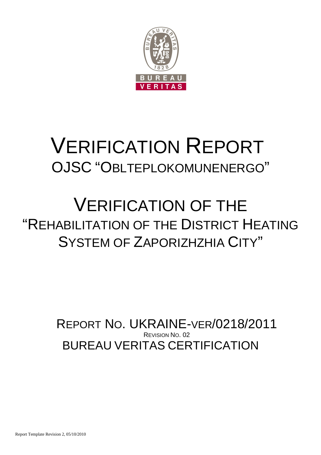

# VERIFICATION REPORT OJSC "OBLTEPLOKOMUNENERGO"

## VERIFICATION OF THE "REHABILITATION OF THE DISTRICT HEATING SYSTEM OF ZAPORIZHZHIA CITY"

BUREAU VERITAS CERTIFICATION REPORT NO. UKRAINE-VER/0218/2011 REVISION NO. 02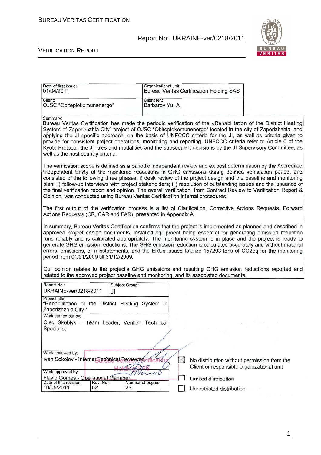

#### VERIFICATION REPORT

| Client ref.:<br>Client:<br>OJSC "Oblteplokomunenergo"<br>Barbarov Yu. A.<br>Summary:<br>Bureau Veritas Certification has made the periodic verification of the «Rehabilitation of the District Heating<br>System of Zaporizhzhia City" project of OJSC "Oblteplokomunenergo" located in the city of Zaporizhzhia, and<br>applying the JI specific approach, on the basis of UNFCCC criteria for the JI, as well as criteria given to<br>provide for consistent project operations, monitoring and reporting. UNFCCC criteria refer to Article 6 of the<br>Kyoto Protocol, the JI rules and modalities and the subsequent decisions by the JI Supervisory Committee, as<br>well as the host country criteria.<br>The verification scope is defined as a periodic independent review and ex post determination by the Accredited<br>Independent Entity of the monitored reductions in GHG emissions during defined verification period, and<br>consisted of the following three phases: i) desk review of the project design and the baseline and monitoring<br>plan; ii) follow-up interviews with project stakeholders; iii) resolution of outstanding issues and the issuance of<br>the final verification report and opinion. The overall verification, from Contract Review to Verification Report &<br>Opinion, was conducted using Bureau Veritas Certification internal procedures.<br>Actions Requests (CR, CAR and FAR), presented in Appendix A.<br>errors, omissions, or misstatements, and the ERUs issued totalize 157293 tons of CO2eq for the monitoring<br>period from 01/01/2009 till 31/12/2009.<br>related to the approved project baseline and monitoring, and its associated documents.<br>Report No.:<br>Subject Group:<br>UKRAINE-ver/0218/2011<br>JI<br>Project title: |
|-----------------------------------------------------------------------------------------------------------------------------------------------------------------------------------------------------------------------------------------------------------------------------------------------------------------------------------------------------------------------------------------------------------------------------------------------------------------------------------------------------------------------------------------------------------------------------------------------------------------------------------------------------------------------------------------------------------------------------------------------------------------------------------------------------------------------------------------------------------------------------------------------------------------------------------------------------------------------------------------------------------------------------------------------------------------------------------------------------------------------------------------------------------------------------------------------------------------------------------------------------------------------------------------------------------------------------------------------------------------------------------------------------------------------------------------------------------------------------------------------------------------------------------------------------------------------------------------------------------------------------------------------------------------------------------------------------------------------------------------------------------------------------------------------|
|                                                                                                                                                                                                                                                                                                                                                                                                                                                                                                                                                                                                                                                                                                                                                                                                                                                                                                                                                                                                                                                                                                                                                                                                                                                                                                                                                                                                                                                                                                                                                                                                                                                                                                                                                                                               |
|                                                                                                                                                                                                                                                                                                                                                                                                                                                                                                                                                                                                                                                                                                                                                                                                                                                                                                                                                                                                                                                                                                                                                                                                                                                                                                                                                                                                                                                                                                                                                                                                                                                                                                                                                                                               |
| The first output of the verification process is a list of Clarification, Corrective Actions Requests, Forward<br>In summary, Bureau Veritas Certification confirms that the project is implemented as planned and described in<br>approved project design documents. Installed equipment being essential for generating emission reduction<br>runs reliably and is calibrated appropriately. The monitoring system is in place and the project is ready to<br>generate GHG emission reductions. The GHG emission reduction is calculated accurately and without material<br>Our opinion relates to the project's GHG emissions and resulting GHG emission reductions reported and                                                                                                                                                                                                                                                                                                                                                                                                                                                                                                                                                                                                                                                                                                                                                                                                                                                                                                                                                                                                                                                                                                             |
|                                                                                                                                                                                                                                                                                                                                                                                                                                                                                                                                                                                                                                                                                                                                                                                                                                                                                                                                                                                                                                                                                                                                                                                                                                                                                                                                                                                                                                                                                                                                                                                                                                                                                                                                                                                               |
|                                                                                                                                                                                                                                                                                                                                                                                                                                                                                                                                                                                                                                                                                                                                                                                                                                                                                                                                                                                                                                                                                                                                                                                                                                                                                                                                                                                                                                                                                                                                                                                                                                                                                                                                                                                               |
|                                                                                                                                                                                                                                                                                                                                                                                                                                                                                                                                                                                                                                                                                                                                                                                                                                                                                                                                                                                                                                                                                                                                                                                                                                                                                                                                                                                                                                                                                                                                                                                                                                                                                                                                                                                               |
|                                                                                                                                                                                                                                                                                                                                                                                                                                                                                                                                                                                                                                                                                                                                                                                                                                                                                                                                                                                                                                                                                                                                                                                                                                                                                                                                                                                                                                                                                                                                                                                                                                                                                                                                                                                               |
| "Rehabilitation of the District Heating System in<br>Zaporizhzhia City"<br>Work carried out by:                                                                                                                                                                                                                                                                                                                                                                                                                                                                                                                                                                                                                                                                                                                                                                                                                                                                                                                                                                                                                                                                                                                                                                                                                                                                                                                                                                                                                                                                                                                                                                                                                                                                                               |
| Oleg Skoblyk - Team Leader, Verifier, Technical<br>$\omega_{\rm c} = 10$<br>Specialist                                                                                                                                                                                                                                                                                                                                                                                                                                                                                                                                                                                                                                                                                                                                                                                                                                                                                                                                                                                                                                                                                                                                                                                                                                                                                                                                                                                                                                                                                                                                                                                                                                                                                                        |
|                                                                                                                                                                                                                                                                                                                                                                                                                                                                                                                                                                                                                                                                                                                                                                                                                                                                                                                                                                                                                                                                                                                                                                                                                                                                                                                                                                                                                                                                                                                                                                                                                                                                                                                                                                                               |
| Work reviewed by:<br>Ivan Sokolov - Internal Technical Reviewer<br>$\times$<br>No distribution without permission from the<br>Client or responsible organizational unit                                                                                                                                                                                                                                                                                                                                                                                                                                                                                                                                                                                                                                                                                                                                                                                                                                                                                                                                                                                                                                                                                                                                                                                                                                                                                                                                                                                                                                                                                                                                                                                                                       |
| Work approved by:<br>70<br>Flavio Gomes - Operational Manager<br>Limited distribution<br>Date of this revision:<br>Rev. No.:<br>Number of pages:<br>10/05/2011<br>02<br>23<br>Unrestricted distribution                                                                                                                                                                                                                                                                                                                                                                                                                                                                                                                                                                                                                                                                                                                                                                                                                                                                                                                                                                                                                                                                                                                                                                                                                                                                                                                                                                                                                                                                                                                                                                                       |

1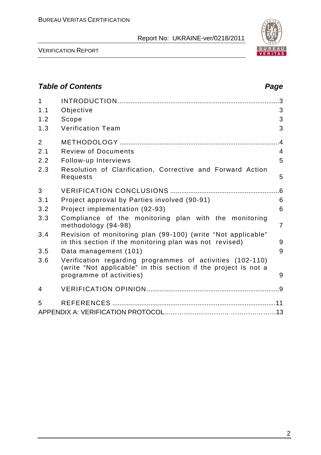

VERIFICATION REPORT

### **Table of Contents Page 2016** 1 INTRODUCTION .........................................................................................3 1.1 Objective 3 1.2 Scope 3 1.3 Verification Team 3 2 METHODOLOGY ........................................................................................4 2.1 Review of Documents 4 2.2 Follow-up Interviews 5 2.3 Resolution of Clarification, Corrective and Forward Action Requests 5 3 VERIFICATION CONCLUSIONS ............................................................6 3.1 Project approval by Parties involved (90-91) 6 3.2 Project implementation (92-93) 6 3.3 Compliance of the monitoring plan with the monitoring methodology (94-98) 7 3.4 Revision of monitoring plan (99-100) (write "Not applicable" in this section if the monitoring plan was not revised) 9 3.5 Data management (101) 9 3.6 Verification regarding programmes of activities (102-110) (write "Not applicable" in this section if the project is not a programme of activities) and the state of  $\sim$  9 4 VERIFICATION OPINION .........................................................................9 5 REFERENCES ..........................................................................................11 APPENDIX A: VERIFICATION PROTOCOL………………………… …………………13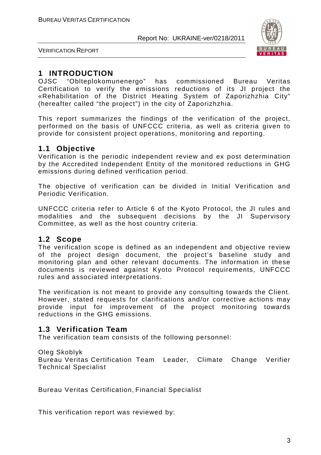

VERIFICATION REPORT

### **1 INTRODUCTION**

OJSC "Oblteplokomunenergo" has commissioned Bureau Veritas Certification to verify the emissions reductions of its JI project the «Rehabilitation of the District Heating System of Zaporizhzhia City" (hereafter called "the project") in the city of Zaporizhzhia.

This report summarizes the findings of the verification of the project, performed on the basis of UNFCCC criteria, as well as criteria given to provide for consistent project operations, monitoring and reporting.

#### **1.1 Objective**

Verification is the periodic independent review and ex post determination by the Accredited Independent Entity of the monitored reductions in GHG emissions during defined verification period.

The objective of verification can be divided in Initial Verification and Periodic Verification.

UNFCCC criteria refer to Article 6 of the Kyoto Protocol, the JI rules and modalities and the subsequent decisions by the JI Supervisory Committee, as well as the host country criteria.

#### **1.2 Scope**

The verification scope is defined as an independent and objective review of the project design document, the project's baseline study and monitoring plan and other relevant documents. The information in these documents is reviewed against Kyoto Protocol requirements, UNFCCC rules and associated interpretations.

The verification is not meant to provide any consulting towards the Client. However, stated requests for clarifications and/or corrective actions may provide input for improvement of the project monitoring towards reductions in the GHG emissions.

#### **1.3 Verification Team**

The verification team consists of the following personnel:

#### Oleg Skoblyk

Bureau Veritas Certification Team Leader, Climate Change Verifier Technical Specialist

Bureau Veritas Certification, Financial Specialist

This verification report was reviewed by: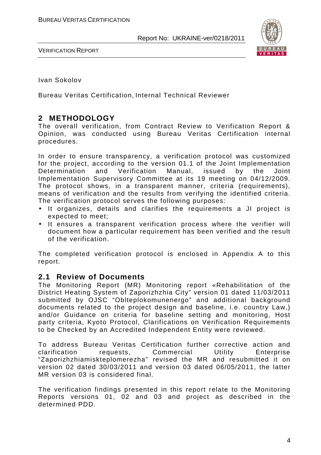

VERIFICATION REPORT

Ivan Sokolov

Bureau Veritas Certification, Internal Technical Reviewer

### **2 METHODOLOGY**

The overall verification, from Contract Review to Verification Report & Opinion, was conducted using Bureau Veritas Certification internal procedures.

In order to ensure transparency, a verification protocol was customized for the project, according to the version 01.1 of the Joint Implementation Determination and Verification Manual, issued by the Joint Implementation Supervisory Committee at its 19 meeting on 04/12/2009. The protocol shows, in a transparent manner, criteria (requirements), means of verification and the results from verifying the identified criteria. The verification protocol serves the following purposes:

- It organizes, details and clarifies the requirements a JI project is expected to meet;
- It ensures a transparent verification process where the verifier will document how a particular requirement has been verified and the result of the verification.

The completed verification protocol is enclosed in Appendix A to this report.

#### **2.1 Review of Documents**

The Monitoring Report (MR) Monitoring report «Rehabilitation of the District Heating System of Zaporizhzhia City" version 01 dated 11/03/2011 submitted by OJSC "Oblteplokomunenergo" and additional background documents related to the project design and baseline, i.e. country Law,) and/or Guidance on criteria for baseline setting and monitoring, Host party criteria, Kyoto Protocol, Clarifications on Verification Requirements to be Checked by an Accredited Independent Entity were reviewed.

To address Bureau Veritas Certification further corrective action and clarification requests, Commercial Utility Enterprise "Zaporizhzhiamiskteplomerezha" revised the MR and resubmitted it on version 02 dated 30/03/2011 and version 03 dated 06/05/2011, the latter MR version 03 is considered final.

The verification findings presented in this report relate to the Monitoring Reports versions 01, 02 and 03 and project as described in the determined PDD.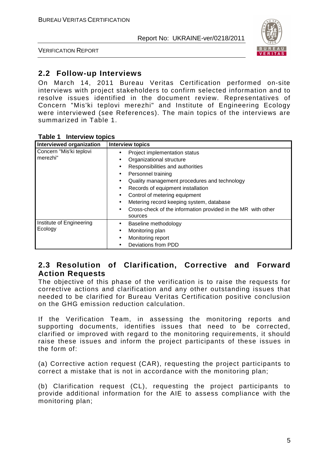

VERIFICATION REPORT

#### **2.2 Follow-up Interviews**

On March 14, 2011 Bureau Veritas Certification performed on-site interviews with project stakeholders to confirm selected information and to resolve issues identified in the document review. Representatives of Concern "Mis'ki teplovi merezhi" and Institute of Engineering Ecology were interviewed (see References). The main topics of the interviews are summarized in Table 1.

| Interviewed organization            | <b>Interview topics</b>                                                                                                                                                                                                                                                                                                                                                                                                                                                  |
|-------------------------------------|--------------------------------------------------------------------------------------------------------------------------------------------------------------------------------------------------------------------------------------------------------------------------------------------------------------------------------------------------------------------------------------------------------------------------------------------------------------------------|
| Concern "Mis'ki teplovi<br>merezhi" | Project implementation status<br>Organizational structure<br>$\bullet$<br>Responsibilities and authorities<br>$\bullet$<br>Personnel training<br>$\bullet$<br>Quality management procedures and technology<br>$\bullet$<br>Records of equipment installation<br>$\bullet$<br>Control of metering equipment<br>$\bullet$<br>Metering record keeping system, database<br>$\bullet$<br>Cross-check of the information provided in the MR with other<br>$\bullet$<br>sources |
| Institute of Engineering<br>Ecology | Baseline methodology<br>Monitoring plan<br>$\bullet$<br>Monitoring report<br>Deviations from PDD                                                                                                                                                                                                                                                                                                                                                                         |

#### **2.3 Resolution of Clarification, Corrective and Forward Action Requests**

The objective of this phase of the verification is to raise the requests for corrective actions and clarification and any other outstanding issues that needed to be clarified for Bureau Veritas Certification positive conclusion on the GHG emission reduction calculation.

If the Verification Team, in assessing the monitoring reports and supporting documents, identifies issues that need to be corrected, clarified or improved with regard to the monitoring requirements, it should raise these issues and inform the project participants of these issues in the form of:

(a) Corrective action request (CAR), requesting the project participants to correct a mistake that is not in accordance with the monitoring plan;

(b) Clarification request (CL), requesting the project participants to provide additional information for the AIE to assess compliance with the monitoring plan;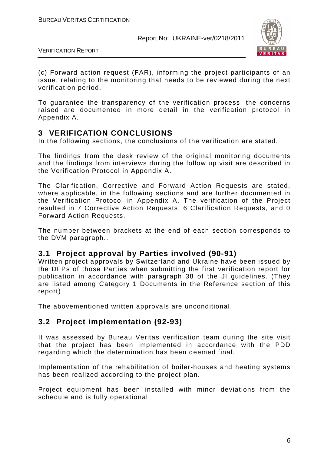

VERIFICATION REPORT

(c) Forward action request (FAR), informing the project participants of an issue, relating to the monitoring that needs to be reviewed during the next verification period.

To guarantee the transparency of the verification process, the concerns raised are documented in more detail in the verification protocol in Appendix A.

#### **3 VERIFICATION CONCLUSIONS**

In the following sections, the conclusions of the verification are stated.

The findings from the desk review of the original monitoring documents and the findings from interviews during the follow up visit are described in the Verification Protocol in Appendix A.

The Clarification, Corrective and Forward Action Requests are stated, where applicable, in the following sections and are further documented in the Verification Protocol in Appendix A. The verification of the Project resulted in 7 Corrective Action Requests, 6 Clarification Requests, and 0 Forward Action Requests.

The number between brackets at the end of each section corresponds to the DVM paragraph..

#### **3.1 Project approval by Parties involved (90-91)**

Written project approvals by Switzerland and Ukraine have been issued by the DFPs of those Parties when submitting the first verification report for publication in accordance with paragraph 38 of the JI guidelines. (They are listed among Category 1 Documents in the Reference section of this report)

The abovementioned written approvals are unconditional.

### **3.2 Project implementation (92-93)**

It was assessed by Bureau Veritas verification team during the site visit that the project has been implemented in accordance with the PDD regarding which the determination has been deemed final.

Implementation of the rehabilitation of boiler-houses and heating systems has been realized according to the project plan.

Project equipment has been installed with minor deviations from the schedule and is fully operational.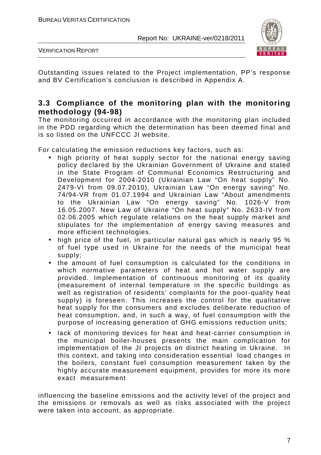

VERIFICATION REPORT

Outstanding issues related to the Project implementation, PP's response and BV Certification's conclusion is described in Appendix A.

#### **3.3 Compliance of the monitoring plan with the monitoring methodology (94-98)**

The monitoring occurred in accordance with the monitoring plan included in the PDD regarding which the determination has been deemed final and is so listed on the UNFCCC JI website.

For calculating the emission reductions key factors, such as:

- high priority of heat supply sector for the national energy saving policy declared by the Ukrainian Government of Ukraine and stated in the State Program of Communal Economics Restructuring and Development for 2004-2010 (Ukrainian Law "On heat supply" No. 2479-VI from 09.07.2010), Ukrainian Law "On energy saving" No. 74/94-VR from 01.07.1994 and Ukrainian Law "About amendments to the Ukrainian Law "On energy saving" No. 1026-V from 16.05.2007. New Law of Ukraine "On heat supply" No. 2633-IV from 02.06.2005 which regulate relations on the heat supply market and stipulates for the implementation of energy saving measures and more efficient technologies.
- high price of the fuel, in particular natural gas which is nearly 95 % of fuel type used in Ukraine for the needs of the municipal heat supply;
- the amount of fuel consumption is calculated for the conditions in which normative parameters of heat and hot water supply are provided. Implementation of continuous monitoring of its quality (measurement of internal temperature in the specific buildings as well as registration of residents' complaints for the poor-quality heat supply) is foreseen. This increases the control for the qualitative heat supply for the consumers and excludes deliberate reduction of heat consumption, and, in such a way, of fuel consumption with the purpose of increasing generation of GHG emissions reduction units;
- lack of monitoring devices for heat and heat-carrier consumption in the municipal boiler-houses presents the main complication for implementation of the JI projects on district heating in Ukraine. In this context, and taking into consideration essential load changes in the boilers, constant fuel consumption measurement taken by the highly accurate measurement equipment, provides for more its more exact measurement

influencing the baseline emissions and the activity level of the project and the emissions or removals as well as risks associated with the project were taken into account, as appropriate.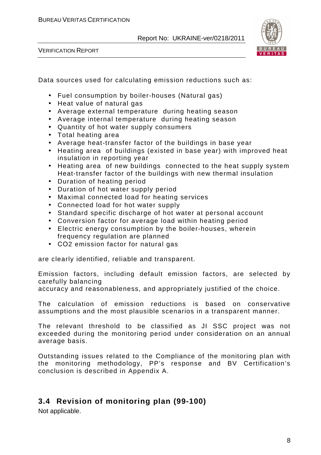VERIFICATION REPORT



Data sources used for calculating emission reductions such as:

- Fuel consumption by boiler-houses (Natural gas)
- Heat value of natural gas
- Average external temperature during heating season
- Average internal temperature during heating season
- Quantity of hot water supply consumers
- Total heating area
- Average heat-transfer factor of the buildings in base year
- Heating area of buildings (existed in base year) with improved heat insulation in reporting year
- Heating area of new buildings connected to the heat supply system Heat-transfer factor of the buildings with new thermal insulation
- Duration of heating period
- Duration of hot water supply period
- Maximal connected load for heating services
- Connected load for hot water supply
- Standard specific discharge of hot water at personal account
- Conversion factor for average load within heating period
- Electric energy consumption by the boiler-houses, wherein frequency regulation are planned
- СО2 emission factor for natural gas

are clearly identified, reliable and transparent.

Emission factors, including default emission factors, are selected by carefully balancing

accuracy and reasonableness, and appropriately justified of the choice.

The calculation of emission reductions is based on conservative assumptions and the most plausible scenarios in a transparent manner.

The relevant threshold to be classified as JI SSC project was not exceeded during the monitoring period under consideration on an annual average basis.

Outstanding issues related to the Compliance of the monitoring plan with the monitoring methodology, PP's response and BV Certification's conclusion is described in Appendix A.

### **3.4 Revision of monitoring plan (99-100)**

Not applicable.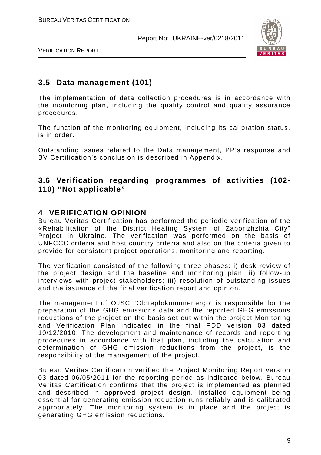

VERIFICATION REPORT

#### **3.5 Data management (101)**

The implementation of data collection procedures is in accordance with the monitoring plan, including the quality control and quality assurance procedures.

The function of the monitoring equipment, including its calibration status, is in order.

Outstanding issues related to the Data management, PP's response and BV Certification's conclusion is described in Appendix.

#### **3.6 Verification regarding programmes of activities (102- 110) "Not applicable"**

#### **4 VERIFICATION OPINION**

Bureau Veritas Certification has performed the periodic verification of the «Rehabilitation of the District Heating System of Zaporizhzhia City" Project in Ukraine. The verification was performed on the basis of UNFCCC criteria and host country criteria and also on the criteria given to provide for consistent project operations, monitoring and reporting.

The verification consisted of the following three phases: i) desk review of the project design and the baseline and monitoring plan; ii) follow-up interviews with project stakeholders; iii) resolution of outstanding issues and the issuance of the final verification report and opinion.

The management of OJSC "Oblteplokomunenergo" is responsible for the preparation of the GHG emissions data and the reported GHG emissions reductions of the project on the basis set out within the project Monitoring and Verification Plan indicated in the final PDD version 03 dated 10/12/2010. The development and maintenance of records and reporting procedures in accordance with that plan, including the calculation and determination of GHG emission reductions from the project, is the responsibility of the management of the project.

Bureau Veritas Certification verified the Project Monitoring Report version 03 dated 06/05/2011 for the reporting period as indicated below. Bureau Veritas Certification confirms that the project is implemented as planned and described in approved project design. Installed equipment being essential for generating emission reduction runs reliably and is calibrated appropriately. The monitoring system is in place and the project is generating GHG emission reductions.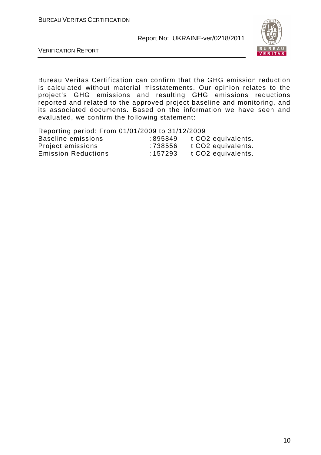

VERIFICATION REPORT

Bureau Veritas Certification can confirm that the GHG emission reduction is calculated without material misstatements. Our opinion relates to the project's GHG emissions and resulting GHG emissions reductions reported and related to the approved project baseline and monitoring, and its associated documents. Based on the information we have seen and evaluated, we confirm the following statement:

| Reporting period: From 01/01/2009 to 31/12/2009 |         |                                |
|-------------------------------------------------|---------|--------------------------------|
| Baseline emissions                              | :895849 | t CO2 equivalents.             |
| Project emissions                               | :738556 | t CO <sub>2</sub> equivalents. |
| <b>Emission Reductions</b>                      | :157293 | t CO2 equivalents.             |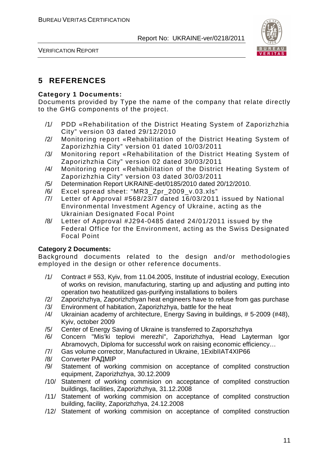

#### **5 REFERENCES**

#### **Category 1 Documents:**

Documents provided by Type the name of the company that relate directly to the GHG components of the project.

- /1/ PDD «Rehabilitation of the District Heating System of Zaporizhzhia City" version 03 dated 29/12/2010
- /2/ Monitoring report «Rehabilitation of the District Heating System of Zaporizhzhia City" version 01 dated 10/03/2011
- /3/ Monitoring report «Rehabilitation of the District Heating System of Zaporizhzhia City" version 02 dated 30/03/2011
- /4/ Monitoring report «Rehabilitation of the District Heating System of Zaporizhzhia City" version 03 dated 30/03/2011
- /5/ Determination Report UKRAINE-det/0185/2010 dated 20/12/2010.
- /6/ Excel spread sheet: "MR3\_Zpr\_2009\_v.03.xls"
- /7/ Letter of Approval #568/23/7 dated 16/03/2011 issued by National Environmental Investment Agency of Ukraine, acting as the Ukrainian Designated Focal Point
- /8/ Letter of Approval #J294-0485 dated 24/01/2011 issued by the Federal Office for the Environment, acting as the Swiss Designated Focal Point

#### **Category 2 Documents:**

Background documents related to the design and/or methodologies employed in the design or other reference documents.

- /1/ Contract # 553, Kyiv, from 11.04.2005, Institute of industrial ecology, Execution of works on revision, manufacturing, starting up and adjusting and putting into operation two heatutilized gas-purifying installations to boilers
- /2/ Zaporizhzhya, Zaporizhzhyan heat engineers have to refuse from gas purchase
- /3/ Environment of habitation, Zaporizhzhya, battle for the heat
- /4/ Ukrainian academy of architecture, Energy Saving in buildings, # 5-2009 (#48), Kyiv, october 2009
- /5/ Center of Energy Saving of Ukraine is transferred to Zaporszhzhya
- /6/ Concern "Mis'ki teplovi merezhi", Zaporizhzhya, Head Layterman Igor Abramovych, Diploma for successful work on raising economic efficiency…
- /7/ Gas volume corrector, Manufactured in Ukraine, 1ExibIIAT4XIP66
- /8/ Converter РАДМІР
- /9/ Statement of working commision on acceptance of complited construction equipment, Zaporizhzhya, 30.12.2009
- /10/ Statement of working commision on acceptance of complited construction buildings, facilities, Zaporizhzhya, 31.12.2008
- /11/ Statement of working commision on acceptance of complited construction building, facility, Zaporizhzhya, 24.12.2008
- /12/ Statement of working commision on acceptance of complited construction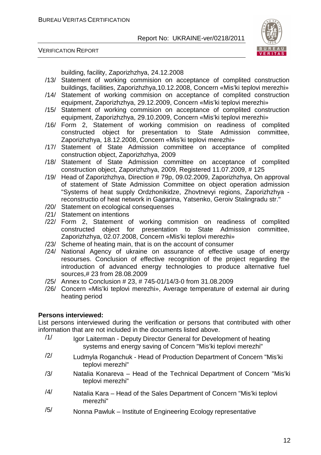

VERIFICATION REPORT

building, facility, Zaporizhzhya, 24.12.2008

- /13/ Statement of working commision on acceptance of complited construction buildings, facilities, Zaporizhzhya,10.12.2008, Concern «Mis'ki teplovi merezhi»
- /14/ Statement of working commision on acceptance of complited construction equipment, Zaporizhzhya, 29.12.2009, Concern «Mis'ki teplovi merezhi»
- /15/ Statement of working commision on acceptance of complited construction equipment, Zaporizhzhya, 29.10.2009, Concern «Mis'ki teplovi merezhi»
- /16/ Form 2, Statement of working commision on readiness of complited constructed object for presentation to State Admission committee, Zaporizhzhya, 18.12.2008, Concern «Mis'ki teplovi merezhi»
- /17/ Statement of State Admission committee on acceptance of complited construction object, Zaporizhzhya, 2009
- /18/ Statement of State Admission committee on acceptance of complited construction object, Zaporizhzhya, 2009, Registered 11.07.2009, # 125
- /19/ Head of Zaporizhzhya, Direction # 79p, 09.02.2009, Zaporizhzhya, On approval of statement of State Admission Committee on object operation admission "Systems of heat supply Ordzhonikidze, Zhovtnevyi regions, Zaporizhzhya reconstructio of heat network in Gagarina, Yatsenko, Geroiv Stalingradu str."
- /20/ Statement on ecological consequenses
- /21/ Statement on intentions
- /22/ Form 2, Statement of working commision on readiness of complited constructed object for presentation to State Admission committee, Zaporizhzhya, 02.07.2008, Concern «Mis'ki teplovi merezhi»
- /23/ Scheme of heating main, that is on the account of consumer
- /24/ National Agency of ukraine on assurance of effective usage of energy resourses. Conclusion of effective recognition of the project regarding the introduction of advanced energy technologies to produce alternative fuel sources,# 23 from 28.08.2009
- /25/ Annex to Conclusion # 23, # 745-01/14/3-0 from 31.08.2009
- /26/ Concern «Mis'ki teplovi merezhi», Average temperature of external air during heating period

#### **Persons interviewed:**

List persons interviewed during the verification or persons that contributed with other information that are not included in the documents listed above.

- /1/ Igor Laiterman Deputy Director General for Development of heating systems and energy saving of Concern "Mis'ki teplovi merezhi"
- $/2$  Ludmyla Roganchuk Head of Production Department of Concern "Mis'ki teplovi merezhi"
- /3/ Natalia Konareva Head of the Technical Department of Concern "Mis'ki teplovi merezhi"
- $/4/$  Natalia Kara Head of the Sales Department of Concern "Mis'ki teplovi merezhi"
- $/5/$  Nonna Pawluk Institute of Engineering Ecology representative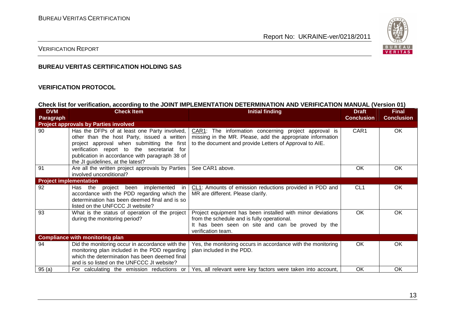

#### VERIFICATION REPORT

#### **BUREAU VERITAS CERTIFICATION HOLDING SAS**

#### **VERIFICATION PROTOCOL**

#### **Check list for verification, according to the JOINT IMPLEMENTATION DETERMINATION AND VERIFICATION MANUAL (Version 01)**

| <b>DVM</b>                    | <b>Check Item</b>                                                                                                                                                                                                                                                              | <b>Initial finding</b>                                                                                                                                                               | <b>Draft</b>      | <b>Final</b>      |
|-------------------------------|--------------------------------------------------------------------------------------------------------------------------------------------------------------------------------------------------------------------------------------------------------------------------------|--------------------------------------------------------------------------------------------------------------------------------------------------------------------------------------|-------------------|-------------------|
| Paragraph                     |                                                                                                                                                                                                                                                                                |                                                                                                                                                                                      | <b>Conclusion</b> | <b>Conclusion</b> |
|                               | <b>Project approvals by Parties involved</b>                                                                                                                                                                                                                                   |                                                                                                                                                                                      |                   |                   |
| 90                            | Has the DFPs of at least one Party involved,<br>other than the host Party, issued a written<br>project approval when submitting the first<br>verification report to the secretariat for<br>publication in accordance with paragraph 38 of<br>the JI guidelines, at the latest? | CAR1: The information concerning project approval is<br>missing in the MR. Please, add the appropriate information<br>to the document and provide Letters of Approval to AIE.        | CAR1              | OK                |
| 91                            | Are all the written project approvals by Parties<br>involved unconditional?                                                                                                                                                                                                    | See CAR1 above.                                                                                                                                                                      | OK                | <b>OK</b>         |
| <b>Project implementation</b> |                                                                                                                                                                                                                                                                                |                                                                                                                                                                                      |                   |                   |
| 92                            | Has the project been implemented<br>in<br>accordance with the PDD regarding which the<br>determination has been deemed final and is so<br>listed on the UNFCCC JI website?                                                                                                     | CL1: Amounts of emission reductions provided in PDD and<br>MR are different. Please clarify.                                                                                         | CL <sub>1</sub>   | OK                |
| 93                            | What is the status of operation of the project<br>during the monitoring period?                                                                                                                                                                                                | Project equipment has been installed with minor deviations<br>from the schedule and is fully operational.<br>It has been seen on site and can be proved by the<br>verification team. | OK                | OK                |
|                               | <b>Compliance with monitoring plan</b>                                                                                                                                                                                                                                         |                                                                                                                                                                                      |                   |                   |
| 94                            | Did the monitoring occur in accordance with the<br>monitoring plan included in the PDD regarding<br>which the determination has been deemed final<br>and is so listed on the UNFCCC JI website?                                                                                | Yes, the monitoring occurs in accordance with the monitoring<br>plan included in the PDD.                                                                                            | OK                | <b>OK</b>         |
| 95(a)                         | For calculating the emission reductions or                                                                                                                                                                                                                                     | Yes, all relevant were key factors were taken into account,                                                                                                                          | OK                | 0K                |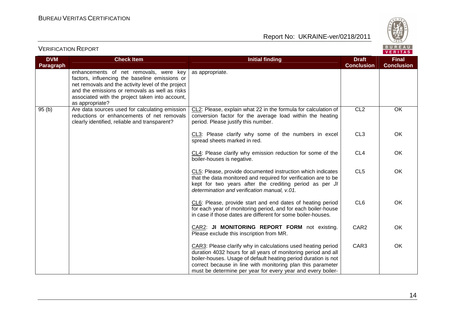

| <b>DVM</b>       | <b>Check Item</b>                                                                                                                                                                                                                                                      | <b>Initial finding</b>                                                                                                                                                                                                                                                                                                         | <b>Draft</b>      | <b>Final</b>      |
|------------------|------------------------------------------------------------------------------------------------------------------------------------------------------------------------------------------------------------------------------------------------------------------------|--------------------------------------------------------------------------------------------------------------------------------------------------------------------------------------------------------------------------------------------------------------------------------------------------------------------------------|-------------------|-------------------|
| <b>Paragraph</b> |                                                                                                                                                                                                                                                                        |                                                                                                                                                                                                                                                                                                                                | <b>Conclusion</b> | <b>Conclusion</b> |
|                  | enhancements of net removals, were key<br>factors, influencing the baseline emissions or<br>net removals and the activity level of the project<br>and the emissions or removals as well as risks<br>associated with the project taken into account,<br>as appropriate? | as appropriate.                                                                                                                                                                                                                                                                                                                |                   |                   |
| 95(b)            | Are data sources used for calculating emission<br>reductions or enhancements of net removals<br>clearly identified, reliable and transparent?                                                                                                                          | CL2: Please, explain what 22 in the formula for calculation of<br>conversion factor for the average load within the heating<br>period. Please justify this number.                                                                                                                                                             | CL <sub>2</sub>   | OK                |
|                  |                                                                                                                                                                                                                                                                        | CL3: Please clarify why some of the numbers in excel<br>spread sheets marked in red.                                                                                                                                                                                                                                           | CL <sub>3</sub>   | OK                |
|                  |                                                                                                                                                                                                                                                                        | CL4: Please clarify why emission reduction for some of the<br>boiler-houses is negative.                                                                                                                                                                                                                                       | CL <sub>4</sub>   | OK                |
|                  |                                                                                                                                                                                                                                                                        | CL5: Please, provide documented instruction which indicates<br>that the data monitored and required for verification are to be<br>kept for two years after the crediting period as per JI<br>determination and verification manual, v.01.                                                                                      | CL <sub>5</sub>   | OK                |
|                  |                                                                                                                                                                                                                                                                        | CL6: Please, provide start and end dates of heating period<br>for each year of monitoring period, and for each boiler-house<br>in case if those dates are different for some boiler-houses.                                                                                                                                    | CL <sub>6</sub>   | OK                |
|                  |                                                                                                                                                                                                                                                                        | CAR2: JI MONITORING REPORT FORM not existing.<br>Please exclude this inscription from MR.                                                                                                                                                                                                                                      | CAR <sub>2</sub>  | OK                |
|                  |                                                                                                                                                                                                                                                                        | CAR3: Please clarify why in calculations used heating period<br>duration 4032 hours for all years of monitoring period and all<br>boiler-houses. Usage of default heating period duration is not<br>correct because in line with monitoring plan this parameter<br>must be determine per year for every year and every boiler- | CAR3              | OK                |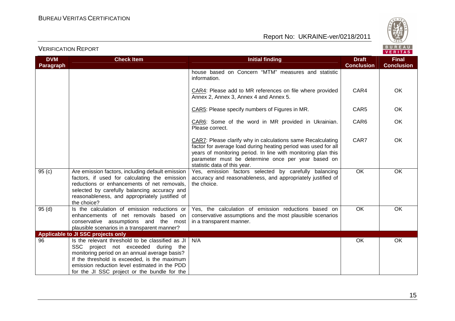

| <b>DVM</b><br>Paragraph | <b>Check Item</b>                                                                                                                                                                                                                                                                         | <b>Initial finding</b>                                                                                                                                                                                                                                                               | <b>Draft</b><br><b>Conclusion</b> | <b>Final</b><br><b>Conclusion</b> |
|-------------------------|-------------------------------------------------------------------------------------------------------------------------------------------------------------------------------------------------------------------------------------------------------------------------------------------|--------------------------------------------------------------------------------------------------------------------------------------------------------------------------------------------------------------------------------------------------------------------------------------|-----------------------------------|-----------------------------------|
|                         |                                                                                                                                                                                                                                                                                           | house based on Concern "MTM" measures and statistic<br>information.                                                                                                                                                                                                                  |                                   |                                   |
|                         |                                                                                                                                                                                                                                                                                           | CAR4: Please add to MR references on file where provided<br>Annex 2, Annex 3, Annex 4 and Annex 5.                                                                                                                                                                                   | CAR4                              | <b>OK</b>                         |
|                         |                                                                                                                                                                                                                                                                                           | CAR5: Please specify numbers of Figures in MR.                                                                                                                                                                                                                                       | CAR <sub>5</sub>                  | <b>OK</b>                         |
|                         |                                                                                                                                                                                                                                                                                           | CAR6: Some of the word in MR provided in Ukrainian.<br>Please correct.                                                                                                                                                                                                               | CAR6                              | OK                                |
|                         |                                                                                                                                                                                                                                                                                           | CAR7: Please clarify why in calculations same Recalculating<br>factor for average load during heating period was used for all<br>years of monitoring period. In line with monitoring plan this<br>parameter must be determine once per year based on<br>statistic data of this year. | CAR7                              | OK                                |
| 95(c)                   | Are emission factors, including default emission<br>factors, if used for calculating the emission<br>reductions or enhancements of net removals,<br>selected by carefully balancing accuracy and<br>reasonableness, and appropriately justified of<br>the choice?                         | Yes, emission factors selected by carefully balancing<br>accuracy and reasonableness, and appropriately justified of<br>the choice.                                                                                                                                                  | <b>OK</b>                         | OK                                |
| 95(d)                   | Is the calculation of emission reductions or<br>enhancements of net removals based on<br>conservative assumptions and the most<br>plausible scenarios in a transparent manner?                                                                                                            | Yes, the calculation of emission reductions based on<br>conservative assumptions and the most plausible scenarios<br>in a transparent manner.                                                                                                                                        | $\overline{OK}$                   | OK                                |
|                         | Applicable to JI SSC projects only                                                                                                                                                                                                                                                        |                                                                                                                                                                                                                                                                                      |                                   |                                   |
| 96                      | Is the relevant threshold to be classified as JI<br>SSC project not exceeded during the<br>monitoring period on an annual average basis?<br>If the threshold is exceeded, is the maximum<br>emission reduction level estimated in the PDD<br>for the JI SSC project or the bundle for the | N/A                                                                                                                                                                                                                                                                                  | OK                                | OK                                |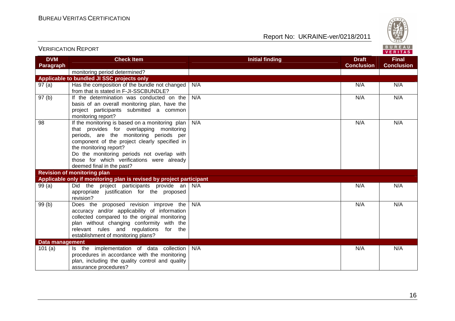

| <b>DVM</b>      | <b>Check Item</b>                                                                                                                                                                                                                                                                                                                          | <b>Initial finding</b> | <b>Draft</b><br><b>Conclusion</b> | <b>Final</b><br><b>Conclusion</b> |
|-----------------|--------------------------------------------------------------------------------------------------------------------------------------------------------------------------------------------------------------------------------------------------------------------------------------------------------------------------------------------|------------------------|-----------------------------------|-----------------------------------|
| Paragraph       | monitoring period determined?                                                                                                                                                                                                                                                                                                              |                        |                                   |                                   |
|                 | Applicable to bundled JI SSC projects only                                                                                                                                                                                                                                                                                                 |                        |                                   |                                   |
| 97(a)           | Has the composition of the bundle not changed<br>from that is stated in F-JI-SSCBUNDLE?                                                                                                                                                                                                                                                    | N/A                    | N/A                               | N/A                               |
| 97(b)           | If the determination was conducted on the<br>basis of an overall monitoring plan, have the<br>project participants submitted a common<br>monitoring report?                                                                                                                                                                                | N/A                    | N/A                               | N/A                               |
| 98              | If the monitoring is based on a monitoring plan<br>that provides for overlapping monitoring<br>periods, are the monitoring periods per<br>component of the project clearly specified in<br>the monitoring report?<br>Do the monitoring periods not overlap with<br>those for which verifications were already<br>deemed final in the past? | N/A                    | N/A                               | N/A                               |
|                 | <b>Revision of monitoring plan</b>                                                                                                                                                                                                                                                                                                         |                        |                                   |                                   |
|                 | Applicable only if monitoring plan is revised by project participant                                                                                                                                                                                                                                                                       |                        |                                   |                                   |
| 99(a)           | Did the project participants provide an N/A<br>appropriate justification for the proposed<br>revision?                                                                                                                                                                                                                                     |                        | N/A                               | N/A                               |
| 99(b)           | Does the proposed revision improve the<br>accuracy and/or applicability of information<br>collected compared to the original monitoring<br>plan without changing conformity with the<br>relevant rules and regulations<br>for the<br>establishment of monitoring plans?                                                                    | N/A                    | N/A                               | N/A                               |
| Data management |                                                                                                                                                                                                                                                                                                                                            |                        |                                   |                                   |
| 101(a)          | Is the implementation of data collection<br>procedures in accordance with the monitoring<br>plan, including the quality control and quality<br>assurance procedures?                                                                                                                                                                       | N/A                    | N/A                               | N/A                               |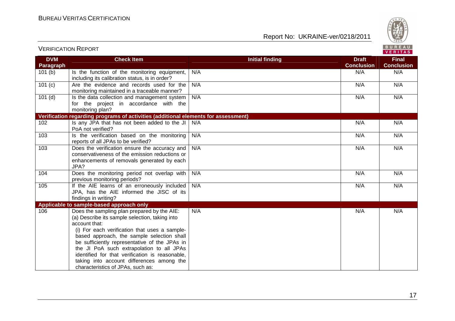

| <b>DVM</b>       | <b>Check Item</b>                                                                                                                                                                                                                                                                                                                                                                                                                                | <b>Initial finding</b> | <b>Draft</b>      | <b>Final</b>      |
|------------------|--------------------------------------------------------------------------------------------------------------------------------------------------------------------------------------------------------------------------------------------------------------------------------------------------------------------------------------------------------------------------------------------------------------------------------------------------|------------------------|-------------------|-------------------|
| <b>Paragraph</b> |                                                                                                                                                                                                                                                                                                                                                                                                                                                  |                        | <b>Conclusion</b> | <b>Conclusion</b> |
| 101(b)           | Is the function of the monitoring equipment,<br>including its calibration status, is in order?                                                                                                                                                                                                                                                                                                                                                   | N/A                    | N/A               | N/A               |
| 101(c)           | Are the evidence and records used for the<br>monitoring maintained in a traceable manner?                                                                                                                                                                                                                                                                                                                                                        | N/A                    | N/A               | N/A               |
| 101(d)           | Is the data collection and management system<br>for the project in accordance with the<br>monitoring plan?                                                                                                                                                                                                                                                                                                                                       | N/A                    | N/A               | N/A               |
|                  | Verification regarding programs of activities (additional elements for assessment)                                                                                                                                                                                                                                                                                                                                                               |                        |                   |                   |
| 102              | Is any JPA that has not been added to the JI<br>PoA not verified?                                                                                                                                                                                                                                                                                                                                                                                | N/A                    | N/A               | N/A               |
| 103              | Is the verification based on the monitoring<br>reports of all JPAs to be verified?                                                                                                                                                                                                                                                                                                                                                               | N/A                    | N/A               | N/A               |
| 103              | Does the verification ensure the accuracy and<br>conservativeness of the emission reductions or<br>enhancements of removals generated by each<br>JPA?                                                                                                                                                                                                                                                                                            | N/A                    | N/A               | N/A               |
| 104              | Does the monitoring period not overlap with<br>previous monitoring periods?                                                                                                                                                                                                                                                                                                                                                                      | N/A                    | N/A               | N/A               |
| 105              | If the AIE learns of an erroneously included<br>JPA, has the AIE informed the JISC of its<br>findings in writing?                                                                                                                                                                                                                                                                                                                                | N/A                    | N/A               | N/A               |
|                  | Applicable to sample-based approach only                                                                                                                                                                                                                                                                                                                                                                                                         |                        |                   |                   |
| 106              | Does the sampling plan prepared by the AIE:<br>(a) Describe its sample selection, taking into<br>account that:<br>(i) For each verification that uses a sample-<br>based approach, the sample selection shall<br>be sufficiently representative of the JPAs in<br>the JI PoA such extrapolation to all JPAs<br>identified for that verification is reasonable,<br>taking into account differences among the<br>characteristics of JPAs, such as: | N/A                    | N/A               | N/A               |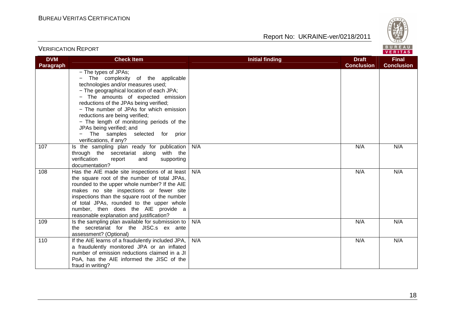Report No: UKRAINE-ver/0218/2011



**VERITAS** 

#### **DVM Paragraph Check Item Draft Check Item Initial finding Check Item Draft ConclusionFinal Conclusion** − The types of JPAs; − The complexity of the applicable technologies and/or measures used; − The geographical location of each JPA; − The amounts of expected emission reductions of the JPAs being verified; − The number of JPAs for which emission reductions are being verified; − The length of monitoring periods of the JPAs being verified; and − The samples selected for prior verifications, if any? 107 | Is the sampling plan ready for publication through the secretariat along with the verification report and supporting documentation? 108 | Has the AIE made site inspections of at least N/A N/A N/A the square root of the number of total JPAs, rounded to the upper whole number? If the AIE makes no site inspections or fewer site inspections than the square root of the number of total JPAs, rounded to the upper whole number, then does the AIE provide a reasonable explanation and justification? 109 | Is the sampling plan available for submission to N/A N/A N/A the secretariat for the JISC.s ex ante assessment? (Optional) 110 | If the AIE learns of a fraudulently included JPA, N/A N/A N/A a fraudulently monitored JPA or an inflated number of emission reductions claimed in a JI PoA, has the AIE informed the JISC of the fraud in writing? N/A N/A N/A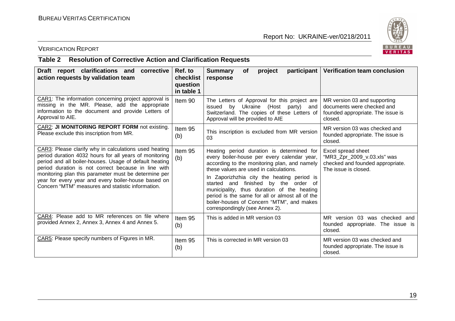

#### VERIFICATION REPORT

#### **Table 2 Resolution of Corrective Action and Clarification Requests**

| Draft report clarifications and<br>corrective<br>action requests by validation team                                                                                                                                                                                                                                                                                                                  | Ref. to<br>checklist<br>question<br>in table 1 | <b>Summary</b><br>participant<br>project<br><b>of</b><br>response                                                                                                                                                                                                                                                                                                                                                                                        | Verification team conclusion                                                                                  |
|------------------------------------------------------------------------------------------------------------------------------------------------------------------------------------------------------------------------------------------------------------------------------------------------------------------------------------------------------------------------------------------------------|------------------------------------------------|----------------------------------------------------------------------------------------------------------------------------------------------------------------------------------------------------------------------------------------------------------------------------------------------------------------------------------------------------------------------------------------------------------------------------------------------------------|---------------------------------------------------------------------------------------------------------------|
| CAR1: The information concerning project approval is<br>missing in the MR. Please, add the appropriate<br>information to the document and provide Letters of<br>Approval to AIE.                                                                                                                                                                                                                     | Item 90                                        | The Letters of Approval for this project are<br>issued by Ukraine (Host party) and<br>Switzerland. The copies of these Letters of<br>Approval will be provided to AIE                                                                                                                                                                                                                                                                                    | MR version 03 and supporting<br>documents were checked and<br>founded appropriate. The issue is<br>closed.    |
| CAR2: JI MONITORING REPORT FORM not existing.<br>Please exclude this inscription from MR.                                                                                                                                                                                                                                                                                                            | Item 95<br>(b)                                 | This inscription is excluded from MR version<br>03                                                                                                                                                                                                                                                                                                                                                                                                       | MR version 03 was checked and<br>founded appropriate. The issue is<br>closed.                                 |
| CAR3: Please clarify why in calculations used heating<br>period duration 4032 hours for all years of monitoring<br>period and all boiler-houses. Usage of default heating<br>period duration is not correct because in line with<br>monitoring plan this parameter must be determine per<br>year for every year and every boiler-house based on<br>Concern "MTM" measures and statistic information. | Item 95<br>(b)                                 | Heating period duration is determined for<br>every boiler-house per every calendar year,<br>according to the monitoring plan, and namely<br>these values are used in calculations.<br>In Zaporizhzhia city the heating period is<br>started and finished by the order of<br>municipality, thus duration of the heating<br>period is the same for all or almost all of the<br>boiler-houses of Concern "MTM", and makes<br>correspondingly (see Annex 2). | Excel spread sheet<br>"MR3_Zpr_2009_v.03.xls" was<br>checked and founded appropriate.<br>The issue is closed. |
| CAR4: Please add to MR references on file where<br>provided Annex 2, Annex 3, Annex 4 and Annex 5.                                                                                                                                                                                                                                                                                                   | Item 95<br>(b)                                 | This is added in MR version 03                                                                                                                                                                                                                                                                                                                                                                                                                           | MR version 03 was checked and<br>founded appropriate. The issue is<br>closed.                                 |
| CAR5: Please specify numbers of Figures in MR.                                                                                                                                                                                                                                                                                                                                                       | Item 95<br>(b)                                 | This is corrected in MR version 03                                                                                                                                                                                                                                                                                                                                                                                                                       | MR version 03 was checked and<br>founded appropriate. The issue is<br>closed.                                 |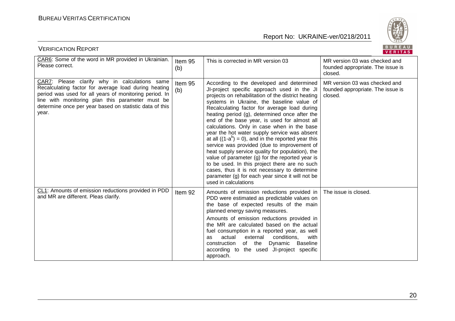

| BUREAU<br><b>VERIFICATION REPORT</b><br>VERITAS                                                                                                                                                                                                                                         |                |                                                                                                                                                                                                                                                                                                                                                                                                                                                                                                                                                                                                                                                                                                                                                                                                                                            |                                                                               |  |
|-----------------------------------------------------------------------------------------------------------------------------------------------------------------------------------------------------------------------------------------------------------------------------------------|----------------|--------------------------------------------------------------------------------------------------------------------------------------------------------------------------------------------------------------------------------------------------------------------------------------------------------------------------------------------------------------------------------------------------------------------------------------------------------------------------------------------------------------------------------------------------------------------------------------------------------------------------------------------------------------------------------------------------------------------------------------------------------------------------------------------------------------------------------------------|-------------------------------------------------------------------------------|--|
| CAR6: Some of the word in MR provided in Ukrainian.<br>Please correct.                                                                                                                                                                                                                  | Item 95<br>(b) | This is corrected in MR version 03                                                                                                                                                                                                                                                                                                                                                                                                                                                                                                                                                                                                                                                                                                                                                                                                         | MR version 03 was checked and<br>founded appropriate. The issue is<br>closed. |  |
| CAR7: Please clarify why in calculations same<br>Recalculating factor for average load during heating<br>period was used for all years of monitoring period. In<br>line with monitoring plan this parameter must be<br>determine once per year based on statistic data of this<br>year. | Item 95<br>(b) | According to the developed and determined<br>JI-project specific approach used in the JI<br>projects on rehabilitation of the district heating<br>systems in Ukraine, the baseline value of<br>Recalculating factor for average load during<br>heating period (g), determined once after the<br>end of the base year, is used for almost all<br>calculations. Only in case when in the base<br>year the hot water supply service was absent<br>at all $((1-a^b) = 0)$ , and in the reported year this<br>service was provided (due to improvement of<br>heat supply service quality for population), the<br>value of parameter $(g)$ for the reported year is<br>to be used. In this project there are no such<br>cases, thus it is not necessary to determine<br>parameter (g) for each year since it will not be<br>used in calculations | MR version 03 was checked and<br>founded appropriate. The issue is<br>closed. |  |
| CL1: Amounts of emission reductions provided in PDD<br>and MR are different. Pleas clarify.                                                                                                                                                                                             | Item 92        | Amounts of emission reductions provided in<br>PDD were estimated as predictable values on<br>the base of expected results of the main<br>planned energy saving measures.<br>Amounts of emission reductions provided in<br>the MR are calculated based on the actual<br>fuel consumption in a reported year, as well<br>actual<br>external<br>conditions.<br>with<br>as<br>Dynamic<br><b>Baseline</b><br>construction<br>of the<br>according to the used JI-project specific<br>approach.                                                                                                                                                                                                                                                                                                                                                   | The issue is closed.                                                          |  |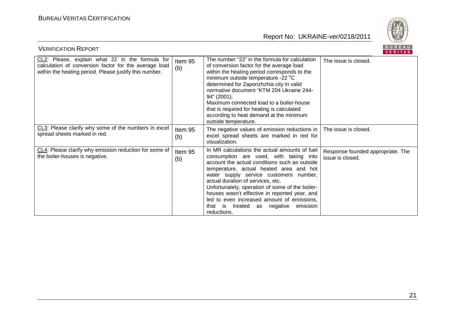

| BUREAU<br><b>VERIFICATION REPORT</b><br>VERITAS                                                                                                                    |                |                                                                                                                                                                                                                                                                                                                                                                                                                                                                                |                                                       |  |
|--------------------------------------------------------------------------------------------------------------------------------------------------------------------|----------------|--------------------------------------------------------------------------------------------------------------------------------------------------------------------------------------------------------------------------------------------------------------------------------------------------------------------------------------------------------------------------------------------------------------------------------------------------------------------------------|-------------------------------------------------------|--|
| CL2: Please, explain what 22 in the formula for<br>calculation of conversion factor for the average load<br>within the heating period. Please justify this number. | Item 95<br>(b) | The number "22" in the formula for calculation<br>of conversion factor for the average load<br>within the heating period corresponds to the<br>minimum outside temperature -22 °C<br>determined for Zaporizhzhia city in valid<br>normative document "KTM 204 Ukraine 244-<br>94" (2001).<br>Maximum connected load to a boiler-house<br>that is required for heating is calculated<br>according to heat demand at the minimum<br>outside temperature.                         | The issue is closed.                                  |  |
| CL3: Please clarify why some of the numbers in excel<br>spread sheets marked in red.                                                                               | Item 95<br>(b) | The negative values of emission reductions in<br>excel spread sheets are marked in red for<br>visualization.                                                                                                                                                                                                                                                                                                                                                                   | The issue is closed.                                  |  |
| CL4: Please clarify why emission reduction for some of<br>the boiler-houses is negative.                                                                           | Item 95<br>(b) | In MR calculations the actual amounts of fuel<br>consumption are used, with taking into<br>account the actual conditions such as outside<br>temperature, actual heated area and hot<br>water supply service customers number,<br>actual duration of services, etc.<br>Unfortunately, operation of some of the boiler-<br>houses wasn't effective in reported year, and<br>led to even increased amount of emissions,<br>emission<br>that is treated as negative<br>reductions. | Response founded appropriate. The<br>issue is closed. |  |